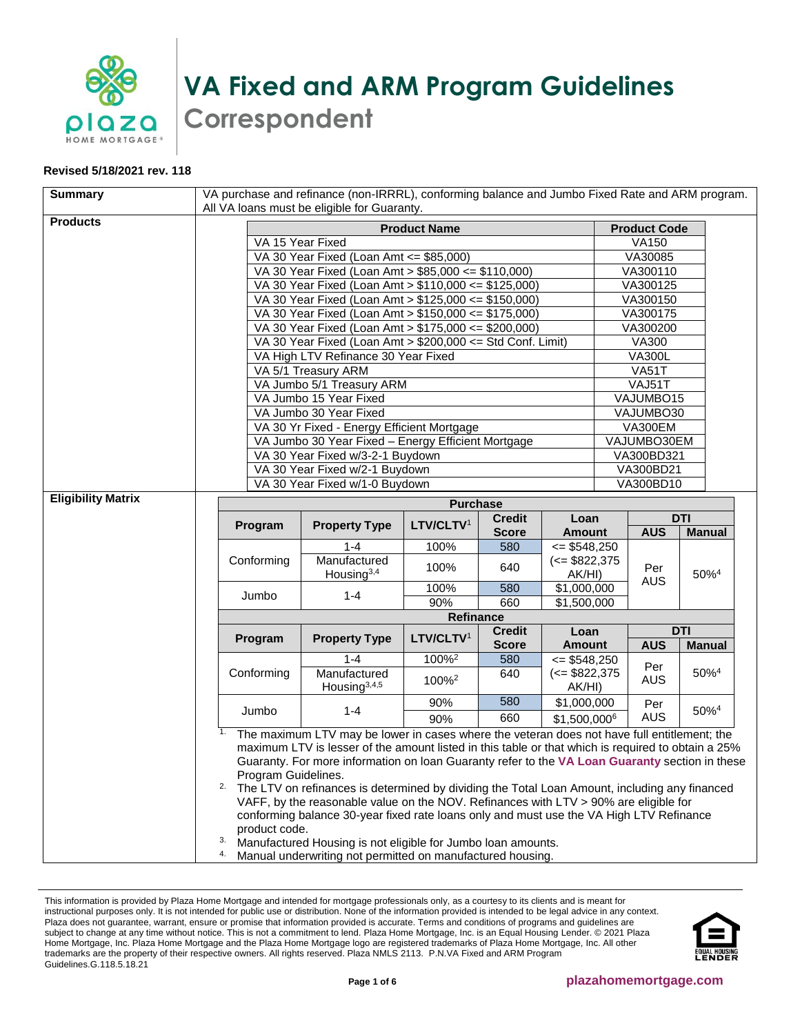

## **VA Fixed and ARM Program Guidelines Correspondent**

## **Revised 5/18/2021 rev. 118**

| <b>Summary</b>            | VA purchase and refinance (non-IRRRL), conforming balance and Jumbo Fixed Rate and ARM program.                                                                                                                    |                                                                                                              |                       |                     |                                            |                      |                         |                     |  |
|---------------------------|--------------------------------------------------------------------------------------------------------------------------------------------------------------------------------------------------------------------|--------------------------------------------------------------------------------------------------------------|-----------------------|---------------------|--------------------------------------------|----------------------|-------------------------|---------------------|--|
| <b>Products</b>           | All VA loans must be eligible for Guaranty.                                                                                                                                                                        |                                                                                                              |                       |                     |                                            |                      |                         |                     |  |
|                           | <b>Product Name</b><br><b>Product Code</b>                                                                                                                                                                         |                                                                                                              |                       |                     |                                            |                      |                         |                     |  |
|                           | VA 15 Year Fixed                                                                                                                                                                                                   |                                                                                                              |                       | <b>VA150</b>        |                                            |                      |                         |                     |  |
|                           |                                                                                                                                                                                                                    | VA 30 Year Fixed (Loan Amt <= \$85,000)                                                                      |                       |                     |                                            | VA30085              |                         |                     |  |
|                           |                                                                                                                                                                                                                    | VA 30 Year Fixed (Loan Amt > \$85,000 <= \$110,000)                                                          |                       |                     |                                            | VA300110             |                         |                     |  |
|                           |                                                                                                                                                                                                                    | VA 30 Year Fixed (Loan Amt > \$110,000 <= \$125,000)<br>VA 30 Year Fixed (Loan Amt > \$125,000 <= \$150,000) |                       |                     |                                            | VA300125<br>VA300150 |                         |                     |  |
|                           |                                                                                                                                                                                                                    | VA 30 Year Fixed (Loan Amt > \$150,000 <= \$175,000)                                                         |                       |                     |                                            | VA300175             |                         |                     |  |
|                           |                                                                                                                                                                                                                    |                                                                                                              |                       |                     |                                            |                      | VA300200                |                     |  |
|                           | VA 30 Year Fixed (Loan Amt > \$175,000 <= \$200,000)<br>VA 30 Year Fixed (Loan Amt > \$200,000 <= Std Conf. Limit)                                                                                                 |                                                                                                              |                       |                     |                                            | <b>VA300</b>         |                         |                     |  |
|                           |                                                                                                                                                                                                                    | VA High LTV Refinance 30 Year Fixed                                                                          |                       |                     |                                            | <b>VA300L</b>        |                         |                     |  |
|                           |                                                                                                                                                                                                                    | VA 5/1 Treasury ARM                                                                                          |                       |                     |                                            | <b>VA51T</b>         |                         |                     |  |
|                           |                                                                                                                                                                                                                    | VA Jumbo 5/1 Treasury ARM                                                                                    |                       |                     |                                            | VAJ51T               |                         |                     |  |
|                           |                                                                                                                                                                                                                    | VA Jumbo 15 Year Fixed                                                                                       |                       |                     |                                            |                      | VAJUMBO15               |                     |  |
|                           |                                                                                                                                                                                                                    | VA Jumbo 30 Year Fixed                                                                                       |                       |                     |                                            |                      | VAJUMBO30               |                     |  |
|                           |                                                                                                                                                                                                                    | VA 30 Yr Fixed - Energy Efficient Mortgage                                                                   |                       |                     |                                            |                      | VA300EM                 |                     |  |
|                           |                                                                                                                                                                                                                    | VA Jumbo 30 Year Fixed - Energy Efficient Mortgage                                                           |                       |                     |                                            |                      | VAJUMBO30EM             |                     |  |
|                           |                                                                                                                                                                                                                    | VA 30 Year Fixed w/3-2-1 Buydown                                                                             |                       |                     |                                            |                      | VA300BD321<br>VA300BD21 |                     |  |
|                           |                                                                                                                                                                                                                    | VA 30 Year Fixed w/2-1 Buydown<br>VA 30 Year Fixed w/1-0 Buydown                                             |                       |                     |                                            |                      | <b>VA300BD10</b>        |                     |  |
| <b>Eligibility Matrix</b> |                                                                                                                                                                                                                    |                                                                                                              |                       |                     |                                            |                      |                         |                     |  |
|                           |                                                                                                                                                                                                                    |                                                                                                              | <b>Purchase</b>       |                     |                                            |                      |                         | <b>DTI</b>          |  |
|                           | Program                                                                                                                                                                                                            | <b>Property Type</b>                                                                                         | LTV/CLTV <sup>1</sup> | <b>Credit</b>       | Loan                                       |                      | <b>AUS</b>              | <b>Manual</b>       |  |
|                           |                                                                                                                                                                                                                    | $1 - 4$                                                                                                      | 100%                  | <b>Score</b><br>580 | <b>Amount</b><br>$= $548,250$              |                      |                         |                     |  |
|                           | Conforming                                                                                                                                                                                                         | Manufactured                                                                                                 |                       |                     | $\left(<=\$822,375\right)$                 |                      |                         |                     |  |
|                           |                                                                                                                                                                                                                    | Housing <sup>3,4</sup>                                                                                       | 100%                  | 640                 | AK/HI)                                     |                      | Per                     | 50% <sup>4</sup>    |  |
|                           |                                                                                                                                                                                                                    | $1 - 4$                                                                                                      | 100%                  | 580                 | \$1,000,000                                |                      | <b>AUS</b>              |                     |  |
|                           | Jumbo                                                                                                                                                                                                              |                                                                                                              | 90%                   | 660                 | \$1,500,000                                |                      |                         |                     |  |
|                           | <b>Refinance</b>                                                                                                                                                                                                   |                                                                                                              |                       |                     |                                            |                      |                         |                     |  |
|                           | Program                                                                                                                                                                                                            | <b>Property Type</b>                                                                                         | LTV/CLTV <sup>1</sup> | <b>Credit</b>       | Loan                                       |                      |                         | <b>DTI</b>          |  |
|                           |                                                                                                                                                                                                                    |                                                                                                              | 100% <sup>2</sup>     | <b>Score</b>        | <b>Amount</b>                              |                      | <b>AUS</b>              | <b>Manual</b>       |  |
|                           | Conforming                                                                                                                                                                                                         | $1 - 4$<br>Manufactured                                                                                      |                       | 580<br>640          | $= $548,250$<br>$\left(<=\$822,375\right)$ |                      | Per                     | $50\%$ <sup>4</sup> |  |
|                           |                                                                                                                                                                                                                    | Housing <sup>3,4,5</sup>                                                                                     | 100% <sup>2</sup>     |                     | AK/HI)                                     |                      | <b>AUS</b>              |                     |  |
| Jumbo                     |                                                                                                                                                                                                                    | $1 - 4$                                                                                                      | 90%                   | 580                 | \$1,000,000                                |                      | Per                     |                     |  |
|                           |                                                                                                                                                                                                                    |                                                                                                              | 90%                   | 660                 | \$1,500,0006                               |                      | <b>AUS</b>              | $50\%$ <sup>4</sup> |  |
|                           |                                                                                                                                                                                                                    | The maximum LTV may be lower in cases where the veteran does not have full entitlement; the                  |                       |                     |                                            |                      |                         |                     |  |
|                           | maximum LTV is lesser of the amount listed in this table or that which is required to obtain a 25%                                                                                                                 |                                                                                                              |                       |                     |                                            |                      |                         |                     |  |
|                           | Guaranty. For more information on loan Guaranty refer to the VA Loan Guaranty section in these                                                                                                                     |                                                                                                              |                       |                     |                                            |                      |                         |                     |  |
|                           | Program Guidelines.<br>2.<br>The LTV on refinances is determined by dividing the Total Loan Amount, including any financed<br>VAFF, by the reasonable value on the NOV. Refinances with LTV > 90% are eligible for |                                                                                                              |                       |                     |                                            |                      |                         |                     |  |
|                           |                                                                                                                                                                                                                    |                                                                                                              |                       |                     |                                            |                      |                         |                     |  |
|                           | conforming balance 30-year fixed rate loans only and must use the VA High LTV Refinance<br>product code.                                                                                                           |                                                                                                              |                       |                     |                                            |                      |                         |                     |  |
|                           |                                                                                                                                                                                                                    |                                                                                                              |                       |                     |                                            |                      |                         |                     |  |
|                           | 3.<br>Manufactured Housing is not eligible for Jumbo loan amounts.                                                                                                                                                 |                                                                                                              |                       |                     |                                            |                      |                         |                     |  |
|                           | 4.<br>Manual underwriting not permitted on manufactured housing.                                                                                                                                                   |                                                                                                              |                       |                     |                                            |                      |                         |                     |  |

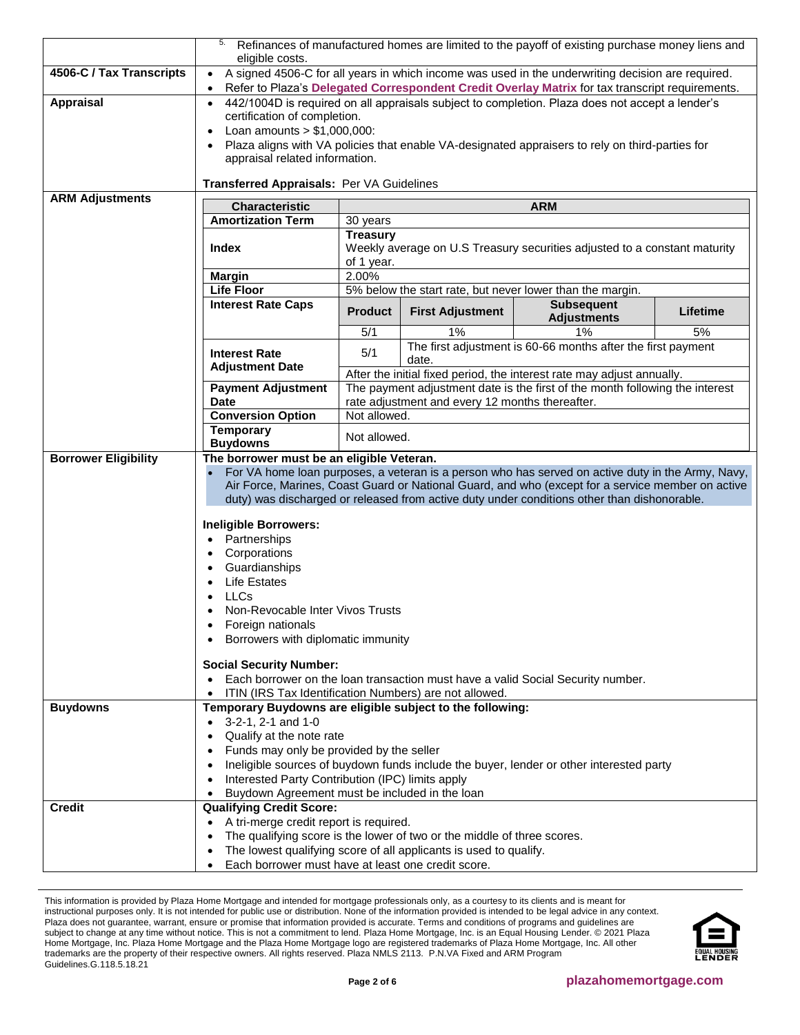|                                                | 5.<br>Refinances of manufactured homes are limited to the payoff of existing purchase money liens and<br>eligible costs.                                                                                                                                                                                                                                                                                                                                                                                                                                                                                                                                                                                                                                                                |                                                                                                                                                                                                           |                                                                                                                                              |                                                              |          |
|------------------------------------------------|-----------------------------------------------------------------------------------------------------------------------------------------------------------------------------------------------------------------------------------------------------------------------------------------------------------------------------------------------------------------------------------------------------------------------------------------------------------------------------------------------------------------------------------------------------------------------------------------------------------------------------------------------------------------------------------------------------------------------------------------------------------------------------------------|-----------------------------------------------------------------------------------------------------------------------------------------------------------------------------------------------------------|----------------------------------------------------------------------------------------------------------------------------------------------|--------------------------------------------------------------|----------|
| 4506-C / Tax Transcripts                       | A signed 4506-C for all years in which income was used in the underwriting decision are required.<br>$\bullet$<br>Refer to Plaza's Delegated Correspondent Credit Overlay Matrix for tax transcript requirements.<br>$\bullet$                                                                                                                                                                                                                                                                                                                                                                                                                                                                                                                                                          |                                                                                                                                                                                                           |                                                                                                                                              |                                                              |          |
| <b>Appraisal</b>                               | 442/1004D is required on all appraisals subject to completion. Plaza does not accept a lender's<br>$\bullet$<br>certification of completion.<br>Loan amounts $> $1,000,000$ :<br>$\bullet$<br>Plaza aligns with VA policies that enable VA-designated appraisers to rely on third-parties for<br>$\bullet$<br>appraisal related information.                                                                                                                                                                                                                                                                                                                                                                                                                                            |                                                                                                                                                                                                           |                                                                                                                                              |                                                              |          |
| <b>ARM Adjustments</b>                         | Transferred Appraisals: Per VA Guidelines                                                                                                                                                                                                                                                                                                                                                                                                                                                                                                                                                                                                                                                                                                                                               |                                                                                                                                                                                                           |                                                                                                                                              |                                                              |          |
|                                                | <b>Characteristic</b><br><b>ARM</b><br><b>Amortization Term</b>                                                                                                                                                                                                                                                                                                                                                                                                                                                                                                                                                                                                                                                                                                                         |                                                                                                                                                                                                           |                                                                                                                                              |                                                              |          |
|                                                | <b>Index</b>                                                                                                                                                                                                                                                                                                                                                                                                                                                                                                                                                                                                                                                                                                                                                                            | 30 years<br><b>Treasury</b><br>Weekly average on U.S Treasury securities adjusted to a constant maturity<br>of 1 year.                                                                                    |                                                                                                                                              |                                                              |          |
|                                                | <b>Margin</b>                                                                                                                                                                                                                                                                                                                                                                                                                                                                                                                                                                                                                                                                                                                                                                           | 2.00%                                                                                                                                                                                                     |                                                                                                                                              |                                                              |          |
|                                                | <b>Life Floor</b>                                                                                                                                                                                                                                                                                                                                                                                                                                                                                                                                                                                                                                                                                                                                                                       |                                                                                                                                                                                                           |                                                                                                                                              | 5% below the start rate, but never lower than the margin.    |          |
|                                                | <b>Interest Rate Caps</b>                                                                                                                                                                                                                                                                                                                                                                                                                                                                                                                                                                                                                                                                                                                                                               | <b>Product</b>                                                                                                                                                                                            | <b>First Adjustment</b>                                                                                                                      | <b>Subsequent</b><br><b>Adjustments</b>                      | Lifetime |
|                                                |                                                                                                                                                                                                                                                                                                                                                                                                                                                                                                                                                                                                                                                                                                                                                                                         | 5/1                                                                                                                                                                                                       | 1%                                                                                                                                           | 1%                                                           | 5%       |
|                                                | <b>Interest Rate</b><br><b>Adjustment Date</b>                                                                                                                                                                                                                                                                                                                                                                                                                                                                                                                                                                                                                                                                                                                                          | 5/1                                                                                                                                                                                                       | date.                                                                                                                                        | The first adjustment is 60-66 months after the first payment |          |
|                                                | <b>Payment Adjustment</b><br><b>Date</b>                                                                                                                                                                                                                                                                                                                                                                                                                                                                                                                                                                                                                                                                                                                                                | After the initial fixed period, the interest rate may adjust annually.<br>The payment adjustment date is the first of the month following the interest<br>rate adjustment and every 12 months thereafter. |                                                                                                                                              |                                                              |          |
|                                                | <b>Conversion Option</b>                                                                                                                                                                                                                                                                                                                                                                                                                                                                                                                                                                                                                                                                                                                                                                | Not allowed.                                                                                                                                                                                              |                                                                                                                                              |                                                              |          |
|                                                | <b>Temporary</b><br><b>Buydowns</b>                                                                                                                                                                                                                                                                                                                                                                                                                                                                                                                                                                                                                                                                                                                                                     | Not allowed.                                                                                                                                                                                              |                                                                                                                                              |                                                              |          |
| <b>Borrower Eligibility</b><br><b>Buydowns</b> | The borrower must be an eligible Veteran.<br>For VA home loan purposes, a veteran is a person who has served on active duty in the Army, Navy,<br>Air Force, Marines, Coast Guard or National Guard, and who (except for a service member on active<br>duty) was discharged or released from active duty under conditions other than dishonorable.<br>Ineligible Borrowers:<br>Partnerships<br>Corporations<br>$\bullet$<br>Guardianships<br>$\bullet$<br><b>Life Estates</b><br>$\bullet$<br><b>LLCs</b><br>Non-Revocable Inter Vivos Trusts<br>Foreign nationals<br>Borrowers with diplomatic immunity<br><b>Social Security Number:</b><br>Each borrower on the loan transaction must have a valid Social Security number.<br>ITIN (IRS Tax Identification Numbers) are not allowed. |                                                                                                                                                                                                           |                                                                                                                                              |                                                              |          |
|                                                | Temporary Buydowns are eligible subject to the following:<br>3-2-1, 2-1 and 1-0<br>$\bullet$<br>Qualify at the note rate<br>$\bullet$<br>Funds may only be provided by the seller<br>$\bullet$<br>Ineligible sources of buydown funds include the buyer, lender or other interested party<br>$\bullet$<br>Interested Party Contribution (IPC) limits apply<br>$\bullet$<br>Buydown Agreement must be included in the loan<br>$\bullet$                                                                                                                                                                                                                                                                                                                                                  |                                                                                                                                                                                                           |                                                                                                                                              |                                                              |          |
| <b>Credit</b>                                  | <b>Qualifying Credit Score:</b><br>A tri-merge credit report is required.<br>$\bullet$<br>٠<br>Each borrower must have at least one credit score.<br>$\bullet$                                                                                                                                                                                                                                                                                                                                                                                                                                                                                                                                                                                                                          |                                                                                                                                                                                                           | The qualifying score is the lower of two or the middle of three scores.<br>The lowest qualifying score of all applicants is used to qualify. |                                                              |          |

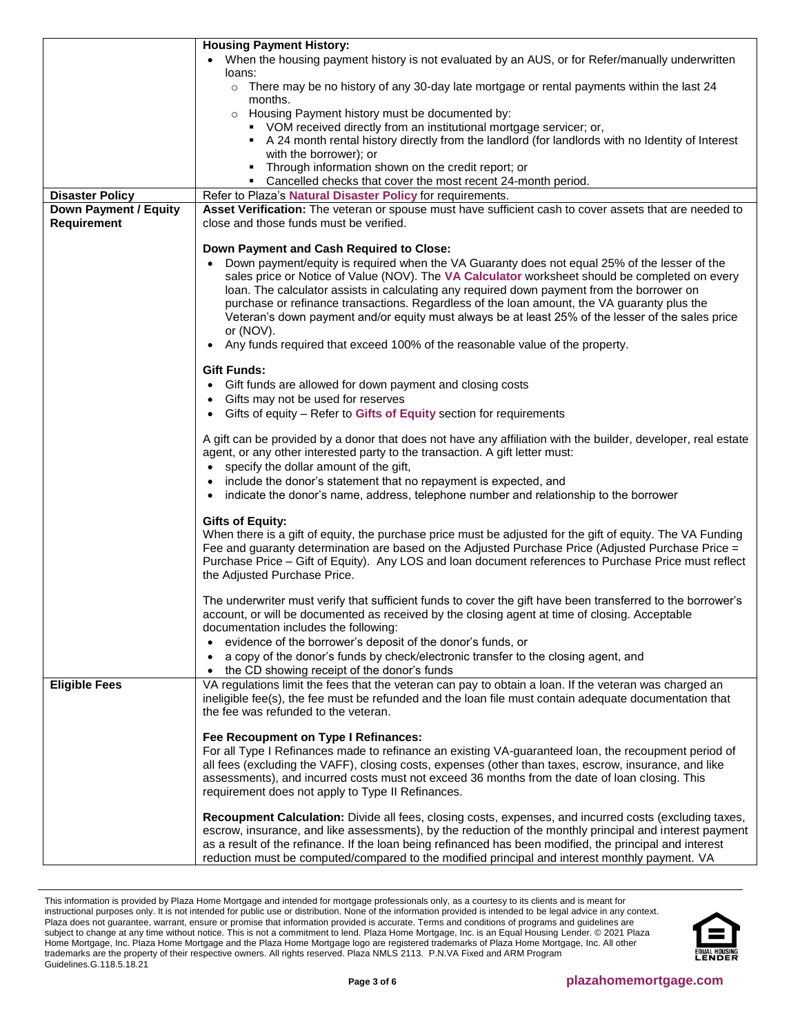<span id="page-2-0"></span>

|                              | <b>Housing Payment History:</b>                                                                                                                                    |  |  |  |
|------------------------------|--------------------------------------------------------------------------------------------------------------------------------------------------------------------|--|--|--|
|                              | When the housing payment history is not evaluated by an AUS, or for Refer/manually underwritten                                                                    |  |  |  |
|                              | loans:                                                                                                                                                             |  |  |  |
|                              | $\circ$ There may be no history of any 30-day late mortgage or rental payments within the last 24                                                                  |  |  |  |
|                              | months.                                                                                                                                                            |  |  |  |
|                              | o Housing Payment history must be documented by:                                                                                                                   |  |  |  |
|                              | • VOM received directly from an institutional mortgage servicer; or,                                                                                               |  |  |  |
|                              | A 24 month rental history directly from the landlord (for landlords with no Identity of Interest                                                                   |  |  |  |
|                              | with the borrower); or<br>Through information shown on the credit report; or<br>٠                                                                                  |  |  |  |
|                              | • Cancelled checks that cover the most recent 24-month period.                                                                                                     |  |  |  |
| <b>Disaster Policy</b>       | Refer to Plaza's Natural Disaster Policy for requirements.                                                                                                         |  |  |  |
| <b>Down Payment / Equity</b> | Asset Verification: The veteran or spouse must have sufficient cash to cover assets that are needed to                                                             |  |  |  |
| Requirement                  | close and those funds must be verified.                                                                                                                            |  |  |  |
|                              |                                                                                                                                                                    |  |  |  |
|                              | Down Payment and Cash Required to Close:                                                                                                                           |  |  |  |
|                              | Down payment/equity is required when the VA Guaranty does not equal 25% of the lesser of the                                                                       |  |  |  |
|                              | sales price or Notice of Value (NOV). The VA Calculator worksheet should be completed on every                                                                     |  |  |  |
|                              | loan. The calculator assists in calculating any required down payment from the borrower on                                                                         |  |  |  |
|                              | purchase or refinance transactions. Regardless of the loan amount, the VA guaranty plus the                                                                        |  |  |  |
|                              | Veteran's down payment and/or equity must always be at least 25% of the lesser of the sales price                                                                  |  |  |  |
|                              | or (NOV).                                                                                                                                                          |  |  |  |
|                              | Any funds required that exceed 100% of the reasonable value of the property.                                                                                       |  |  |  |
|                              |                                                                                                                                                                    |  |  |  |
|                              | <b>Gift Funds:</b>                                                                                                                                                 |  |  |  |
|                              | Gift funds are allowed for down payment and closing costs                                                                                                          |  |  |  |
|                              | Gifts may not be used for reserves<br>$\bullet$                                                                                                                    |  |  |  |
|                              | Gifts of equity - Refer to Gifts of Equity section for requirements                                                                                                |  |  |  |
|                              | A gift can be provided by a donor that does not have any affiliation with the builder, developer, real estate                                                      |  |  |  |
|                              | agent, or any other interested party to the transaction. A gift letter must:                                                                                       |  |  |  |
|                              | specify the dollar amount of the gift,                                                                                                                             |  |  |  |
|                              | include the donor's statement that no repayment is expected, and                                                                                                   |  |  |  |
|                              | indicate the donor's name, address, telephone number and relationship to the borrower                                                                              |  |  |  |
|                              |                                                                                                                                                                    |  |  |  |
|                              | <b>Gifts of Equity:</b>                                                                                                                                            |  |  |  |
|                              | When there is a gift of equity, the purchase price must be adjusted for the gift of equity. The VA Funding                                                         |  |  |  |
|                              | Fee and guaranty determination are based on the Adjusted Purchase Price (Adjusted Purchase Price =                                                                 |  |  |  |
|                              | Purchase Price – Gift of Equity). Any LOS and loan document references to Purchase Price must reflect                                                              |  |  |  |
|                              | the Adjusted Purchase Price.                                                                                                                                       |  |  |  |
|                              |                                                                                                                                                                    |  |  |  |
|                              | The underwriter must verify that sufficient funds to cover the gift have been transferred to the borrower's                                                        |  |  |  |
|                              | account, or will be documented as received by the closing agent at time of closing. Acceptable                                                                     |  |  |  |
|                              | documentation includes the following:                                                                                                                              |  |  |  |
|                              | evidence of the borrower's deposit of the donor's funds, or<br>$\bullet$<br>a copy of the donor's funds by check/electronic transfer to the closing agent, and     |  |  |  |
|                              |                                                                                                                                                                    |  |  |  |
| <b>Eligible Fees</b>         | the CD showing receipt of the donor's funds<br>$\bullet$<br>VA regulations limit the fees that the veteran can pay to obtain a loan. If the veteran was charged an |  |  |  |
|                              | ineligible fee(s), the fee must be refunded and the loan file must contain adequate documentation that                                                             |  |  |  |
|                              | the fee was refunded to the veteran.                                                                                                                               |  |  |  |
|                              |                                                                                                                                                                    |  |  |  |
|                              | Fee Recoupment on Type I Refinances:                                                                                                                               |  |  |  |
|                              | For all Type I Refinances made to refinance an existing VA-guaranteed loan, the recoupment period of                                                               |  |  |  |
|                              | all fees (excluding the VAFF), closing costs, expenses (other than taxes, escrow, insurance, and like                                                              |  |  |  |
|                              | assessments), and incurred costs must not exceed 36 months from the date of loan closing. This                                                                     |  |  |  |
|                              | requirement does not apply to Type II Refinances.                                                                                                                  |  |  |  |
|                              |                                                                                                                                                                    |  |  |  |
|                              | Recoupment Calculation: Divide all fees, closing costs, expenses, and incurred costs (excluding taxes,                                                             |  |  |  |
|                              | escrow, insurance, and like assessments), by the reduction of the monthly principal and interest payment                                                           |  |  |  |
|                              | as a result of the refinance. If the loan being refinanced has been modified, the principal and interest                                                           |  |  |  |
|                              | reduction must be computed/compared to the modified principal and interest monthly payment. VA                                                                     |  |  |  |

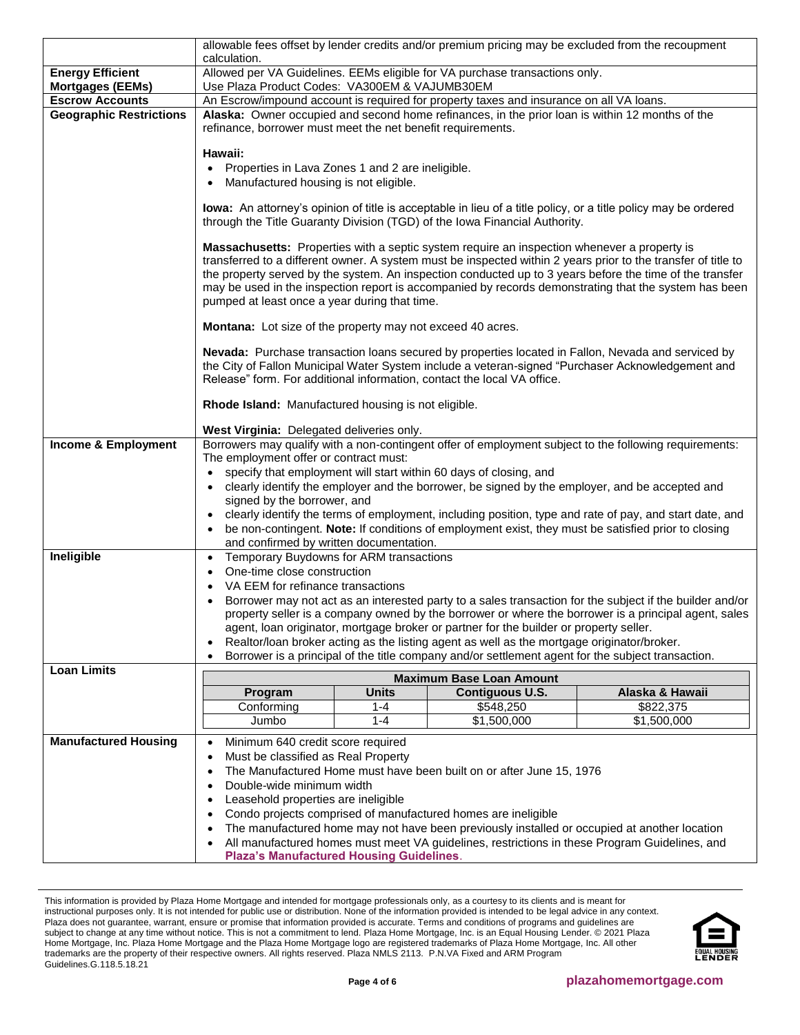|                                                          | allowable fees offset by lender credits and/or premium pricing may be excluded from the recoupment<br>calculation.                                                                                                                                                                                                                                                                                                                                                                 |              |                                                                                                |                                                                                                                |  |
|----------------------------------------------------------|------------------------------------------------------------------------------------------------------------------------------------------------------------------------------------------------------------------------------------------------------------------------------------------------------------------------------------------------------------------------------------------------------------------------------------------------------------------------------------|--------------|------------------------------------------------------------------------------------------------|----------------------------------------------------------------------------------------------------------------|--|
| <b>Energy Efficient</b>                                  | Allowed per VA Guidelines. EEMs eligible for VA purchase transactions only.                                                                                                                                                                                                                                                                                                                                                                                                        |              |                                                                                                |                                                                                                                |  |
| <b>Mortgages (EEMs)</b>                                  | Use Plaza Product Codes: VA300EM & VAJUMB30EM                                                                                                                                                                                                                                                                                                                                                                                                                                      |              |                                                                                                |                                                                                                                |  |
| <b>Escrow Accounts</b><br><b>Geographic Restrictions</b> | An Escrow/impound account is required for property taxes and insurance on all VA loans.<br>Alaska: Owner occupied and second home refinances, in the prior loan is within 12 months of the                                                                                                                                                                                                                                                                                         |              |                                                                                                |                                                                                                                |  |
|                                                          | refinance, borrower must meet the net benefit requirements.                                                                                                                                                                                                                                                                                                                                                                                                                        |              |                                                                                                |                                                                                                                |  |
|                                                          |                                                                                                                                                                                                                                                                                                                                                                                                                                                                                    |              |                                                                                                |                                                                                                                |  |
|                                                          | Hawaii:<br>Properties in Lava Zones 1 and 2 are ineligible.                                                                                                                                                                                                                                                                                                                                                                                                                        |              |                                                                                                |                                                                                                                |  |
|                                                          | Manufactured housing is not eligible.                                                                                                                                                                                                                                                                                                                                                                                                                                              |              |                                                                                                |                                                                                                                |  |
|                                                          |                                                                                                                                                                                                                                                                                                                                                                                                                                                                                    |              |                                                                                                |                                                                                                                |  |
|                                                          |                                                                                                                                                                                                                                                                                                                                                                                                                                                                                    |              | through the Title Guaranty Division (TGD) of the Iowa Financial Authority.                     | lowa: An attorney's opinion of title is acceptable in lieu of a title policy, or a title policy may be ordered |  |
|                                                          | Massachusetts: Properties with a septic system require an inspection whenever a property is<br>transferred to a different owner. A system must be inspected within 2 years prior to the transfer of title to<br>the property served by the system. An inspection conducted up to 3 years before the time of the transfer<br>may be used in the inspection report is accompanied by records demonstrating that the system has been<br>pumped at least once a year during that time. |              |                                                                                                |                                                                                                                |  |
|                                                          | Montana: Lot size of the property may not exceed 40 acres.                                                                                                                                                                                                                                                                                                                                                                                                                         |              |                                                                                                |                                                                                                                |  |
|                                                          | Nevada: Purchase transaction loans secured by properties located in Fallon, Nevada and serviced by<br>the City of Fallon Municipal Water System include a veteran-signed "Purchaser Acknowledgement and<br>Release" form. For additional information, contact the local VA office.                                                                                                                                                                                                 |              |                                                                                                |                                                                                                                |  |
|                                                          | Rhode Island: Manufactured housing is not eligible.                                                                                                                                                                                                                                                                                                                                                                                                                                |              |                                                                                                |                                                                                                                |  |
|                                                          | West Virginia: Delegated deliveries only.                                                                                                                                                                                                                                                                                                                                                                                                                                          |              |                                                                                                |                                                                                                                |  |
| <b>Income &amp; Employment</b>                           | Borrowers may qualify with a non-contingent offer of employment subject to the following requirements:                                                                                                                                                                                                                                                                                                                                                                             |              |                                                                                                |                                                                                                                |  |
|                                                          | The employment offer or contract must:<br>$\bullet$                                                                                                                                                                                                                                                                                                                                                                                                                                |              | specify that employment will start within 60 days of closing, and                              |                                                                                                                |  |
|                                                          | $\bullet$                                                                                                                                                                                                                                                                                                                                                                                                                                                                          |              | clearly identify the employer and the borrower, be signed by the employer, and be accepted and |                                                                                                                |  |
|                                                          | signed by the borrower, and                                                                                                                                                                                                                                                                                                                                                                                                                                                        |              |                                                                                                |                                                                                                                |  |
|                                                          |                                                                                                                                                                                                                                                                                                                                                                                                                                                                                    |              |                                                                                                | clearly identify the terms of employment, including position, type and rate of pay, and start date, and        |  |
|                                                          | and confirmed by written documentation.                                                                                                                                                                                                                                                                                                                                                                                                                                            |              |                                                                                                | be non-contingent. Note: If conditions of employment exist, they must be satisfied prior to closing            |  |
| Ineligible                                               | Temporary Buydowns for ARM transactions<br>$\bullet$                                                                                                                                                                                                                                                                                                                                                                                                                               |              |                                                                                                |                                                                                                                |  |
|                                                          | One-time close construction<br>$\bullet$                                                                                                                                                                                                                                                                                                                                                                                                                                           |              |                                                                                                |                                                                                                                |  |
|                                                          | VA EEM for refinance transactions                                                                                                                                                                                                                                                                                                                                                                                                                                                  |              |                                                                                                |                                                                                                                |  |
|                                                          | Borrower may not act as an interested party to a sales transaction for the subject if the builder and/or<br>property seller is a company owned by the borrower or where the borrower is a principal agent, sales                                                                                                                                                                                                                                                                   |              |                                                                                                |                                                                                                                |  |
|                                                          | agent, loan originator, mortgage broker or partner for the builder or property seller.                                                                                                                                                                                                                                                                                                                                                                                             |              |                                                                                                |                                                                                                                |  |
|                                                          | Realtor/loan broker acting as the listing agent as well as the mortgage originator/broker.<br>٠                                                                                                                                                                                                                                                                                                                                                                                    |              |                                                                                                |                                                                                                                |  |
| <b>Loan Limits</b>                                       | Borrower is a principal of the title company and/or settlement agent for the subject transaction.                                                                                                                                                                                                                                                                                                                                                                                  |              |                                                                                                |                                                                                                                |  |
|                                                          | <b>Maximum Base Loan Amount</b>                                                                                                                                                                                                                                                                                                                                                                                                                                                    |              |                                                                                                |                                                                                                                |  |
|                                                          | Program                                                                                                                                                                                                                                                                                                                                                                                                                                                                            | <b>Units</b> | <b>Contiguous U.S.</b><br>\$548,250                                                            | Alaska & Hawaii                                                                                                |  |
|                                                          | Conforming<br>Jumbo                                                                                                                                                                                                                                                                                                                                                                                                                                                                | 1-4<br>1-4   | \$1,500,000                                                                                    | \$822,375<br>\$1,500,000                                                                                       |  |
| <b>Manufactured Housing</b>                              |                                                                                                                                                                                                                                                                                                                                                                                                                                                                                    |              |                                                                                                |                                                                                                                |  |
|                                                          | Minimum 640 credit score required<br>Must be classified as Real Property                                                                                                                                                                                                                                                                                                                                                                                                           |              |                                                                                                |                                                                                                                |  |
|                                                          | The Manufactured Home must have been built on or after June 15, 1976<br>$\bullet$                                                                                                                                                                                                                                                                                                                                                                                                  |              |                                                                                                |                                                                                                                |  |
|                                                          | Double-wide minimum width<br>$\bullet$                                                                                                                                                                                                                                                                                                                                                                                                                                             |              |                                                                                                |                                                                                                                |  |
|                                                          | Leasehold properties are ineligible<br>$\bullet$                                                                                                                                                                                                                                                                                                                                                                                                                                   |              |                                                                                                |                                                                                                                |  |
|                                                          | Condo projects comprised of manufactured homes are ineligible<br>$\bullet$                                                                                                                                                                                                                                                                                                                                                                                                         |              |                                                                                                |                                                                                                                |  |
|                                                          | The manufactured home may not have been previously installed or occupied at another location<br>$\bullet$<br>All manufactured homes must meet VA guidelines, restrictions in these Program Guidelines, and                                                                                                                                                                                                                                                                         |              |                                                                                                |                                                                                                                |  |
|                                                          | <b>Plaza's Manufactured Housing Guidelines.</b>                                                                                                                                                                                                                                                                                                                                                                                                                                    |              |                                                                                                |                                                                                                                |  |

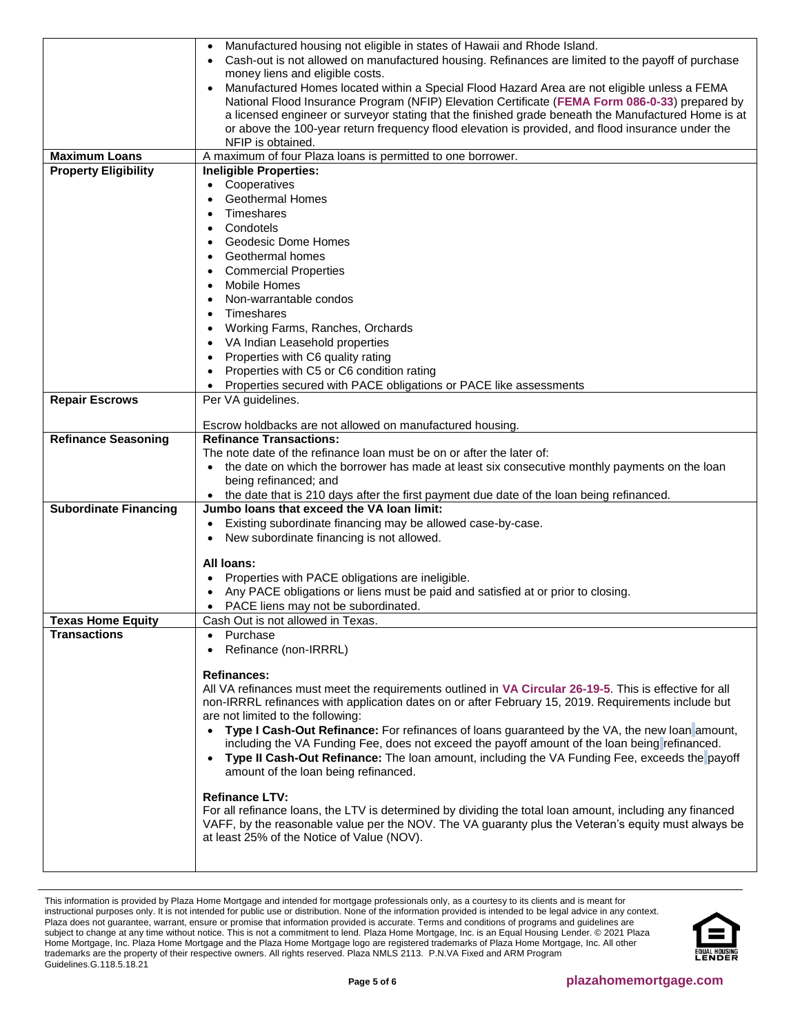|                              | Manufactured housing not eligible in states of Hawaii and Rhode Island.                                  |
|------------------------------|----------------------------------------------------------------------------------------------------------|
|                              | Cash-out is not allowed on manufactured housing. Refinances are limited to the payoff of purchase        |
|                              | money liens and eligible costs.                                                                          |
|                              |                                                                                                          |
|                              | Manufactured Homes located within a Special Flood Hazard Area are not eligible unless a FEMA             |
|                              | National Flood Insurance Program (NFIP) Elevation Certificate (FEMA Form 086-0-33) prepared by           |
|                              | a licensed engineer or surveyor stating that the finished grade beneath the Manufactured Home is at      |
|                              | or above the 100-year return frequency flood elevation is provided, and flood insurance under the        |
|                              | NFIP is obtained.                                                                                        |
| <b>Maximum Loans</b>         | A maximum of four Plaza loans is permitted to one borrower.                                              |
| <b>Property Eligibility</b>  | <b>Ineligible Properties:</b>                                                                            |
|                              | Cooperatives                                                                                             |
|                              | <b>Geothermal Homes</b>                                                                                  |
|                              | Timeshares                                                                                               |
|                              | Condotels<br>$\bullet$                                                                                   |
|                              | Geodesic Dome Homes                                                                                      |
|                              |                                                                                                          |
|                              | Geothermal homes                                                                                         |
|                              | <b>Commercial Properties</b>                                                                             |
|                              | <b>Mobile Homes</b><br>$\bullet$                                                                         |
|                              | Non-warrantable condos                                                                                   |
|                              | Timeshares<br>$\bullet$                                                                                  |
|                              | Working Farms, Ranches, Orchards                                                                         |
|                              | VA Indian Leasehold properties                                                                           |
|                              | Properties with C6 quality rating                                                                        |
|                              | Properties with C5 or C6 condition rating                                                                |
|                              |                                                                                                          |
|                              | Properties secured with PACE obligations or PACE like assessments                                        |
| <b>Repair Escrows</b>        | Per VA guidelines.                                                                                       |
|                              |                                                                                                          |
|                              | Escrow holdbacks are not allowed on manufactured housing.                                                |
| <b>Refinance Seasoning</b>   | <b>Refinance Transactions:</b>                                                                           |
|                              | The note date of the refinance loan must be on or after the later of:                                    |
|                              | the date on which the borrower has made at least six consecutive monthly payments on the loan            |
|                              | being refinanced; and                                                                                    |
|                              | the date that is 210 days after the first payment due date of the loan being refinanced.                 |
| <b>Subordinate Financing</b> | Jumbo loans that exceed the VA loan limit:                                                               |
|                              | Existing subordinate financing may be allowed case-by-case.                                              |
|                              | New subordinate financing is not allowed.                                                                |
|                              |                                                                                                          |
|                              | All loans:                                                                                               |
|                              | Properties with PACE obligations are ineligible.                                                         |
|                              | Any PACE obligations or liens must be paid and satisfied at or prior to closing.                         |
|                              | PACE liens may not be subordinated.<br>٠                                                                 |
| <b>Texas Home Equity</b>     | Cash Out is not allowed in Texas.                                                                        |
| <b>Transactions</b>          | Purchase<br>$\bullet$                                                                                    |
|                              | Refinance (non-IRRRL)                                                                                    |
|                              |                                                                                                          |
|                              | <b>Refinances:</b>                                                                                       |
|                              | All VA refinances must meet the requirements outlined in VA Circular 26-19-5. This is effective for all  |
|                              | non-IRRRL refinances with application dates on or after February 15, 2019. Requirements include but      |
|                              |                                                                                                          |
|                              | are not limited to the following:                                                                        |
|                              | Type I Cash-Out Refinance: For refinances of loans guaranteed by the VA, the new loan amount,            |
|                              | including the VA Funding Fee, does not exceed the payoff amount of the loan being refinanced.            |
|                              | Type II Cash-Out Refinance: The loan amount, including the VA Funding Fee, exceeds the payoff            |
|                              | amount of the loan being refinanced.                                                                     |
|                              |                                                                                                          |
|                              | <b>Refinance LTV:</b>                                                                                    |
|                              | For all refinance loans, the LTV is determined by dividing the total loan amount, including any financed |
|                              | VAFF, by the reasonable value per the NOV. The VA guaranty plus the Veteran's equity must always be      |
|                              | at least 25% of the Notice of Value (NOV).                                                               |
|                              |                                                                                                          |
|                              |                                                                                                          |

This information is provided by Plaza Home Mortgage and intended for mortgage professionals only, as a courtesy to its clients and is meant for instructional purposes only. It is not intended for public use or distribution. None of the information provided is intended to be legal advice in any context. Plaza does not guarantee, warrant, ensure or promise that information provided is accurate. Terms and conditions of programs and guidelines are subject to change at any time without notice. This is not a commitment to lend. Plaza Home Mortgage, Inc. is an Equal Housing Lender. © 2021 Plaza Home Mortgage, Inc. Plaza Home Mortgage and the Plaza Home Mortgage logo are registered trademarks of Plaza Home Mortgage, Inc. All other trademarks are the property of their respective owners. All rights reserved. Plaza NMLS 2113. P.N.VA Fixed and ARM Program Guidelines.G.118.5.18.21